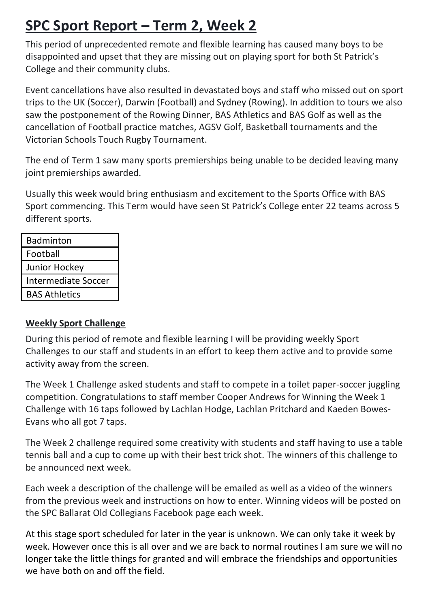## **SPC Sport Report – Term 2, Week 2**

This period of unprecedented remote and flexible learning has caused many boys to be disappointed and upset that they are missing out on playing sport for both St Patrick's College and their community clubs.

Event cancellations have also resulted in devastated boys and staff who missed out on sport trips to the UK (Soccer), Darwin (Football) and Sydney (Rowing). In addition to tours we also saw the postponement of the Rowing Dinner, BAS Athletics and BAS Golf as well as the cancellation of Football practice matches, AGSV Golf, Basketball tournaments and the Victorian Schools Touch Rugby Tournament.

The end of Term 1 saw many sports premierships being unable to be decided leaving many joint premierships awarded.

Usually this week would bring enthusiasm and excitement to the Sports Office with BAS Sport commencing. This Term would have seen St Patrick's College enter 22 teams across 5 different sports.

| <b>Badminton</b>           |
|----------------------------|
| Football                   |
| Junior Hockey              |
| <b>Intermediate Soccer</b> |
| <b>BAS Athletics</b>       |

## **Weekly Sport Challenge**

During this period of remote and flexible learning I will be providing weekly Sport Challenges to our staff and students in an effort to keep them active and to provide some activity away from the screen.

The Week 1 Challenge asked students and staff to compete in a toilet paper-soccer juggling competition. Congratulations to staff member Cooper Andrews for Winning the Week 1 Challenge with 16 taps followed by Lachlan Hodge, Lachlan Pritchard and Kaeden Bowes-Evans who all got 7 taps.

The Week 2 challenge required some creativity with students and staff having to use a table tennis ball and a cup to come up with their best trick shot. The winners of this challenge to be announced next week.

Each week a description of the challenge will be emailed as well as a video of the winners from the previous week and instructions on how to enter. Winning videos will be posted on the SPC Ballarat Old Collegians Facebook page each week.

At this stage sport scheduled for later in the year is unknown. We can only take it week by week. However once this is all over and we are back to normal routines I am sure we will no longer take the little things for granted and will embrace the friendships and opportunities we have both on and off the field.